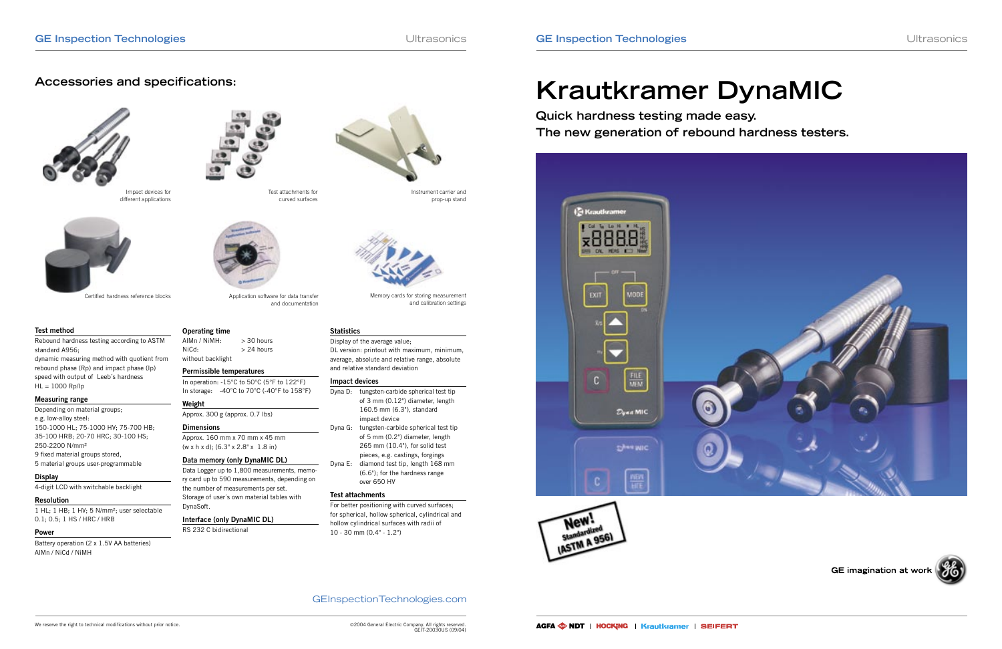GEInspectionTechnologies.com

dynamic measuring method with quotient from rebound phase (Rp) and impact phase (Ip) speed with output of Leeb´s hardness  $HL = 1000$   $Rp/lp$ 



GE imagination at work

# **Krautkramer DynaMIC**

**Quick hardness testing made easy. The new generation of rebound hardness testers.**





## **Accessories and specifications:**



#### **Test method**

Rebound hardness testing according to ASTM standard A956;

> In operation: -15°C to 50°C (5°F to 122°F) In storage: -40°C to 70°C (-40°F to 158°F)

#### **Measuring range**

Depending on material groups; e.g. low-alloy steel: 150-1000 HL; 75-1000 HV; 75-700 HB; 35-100 HRB; 20-70 HRC; 30-100 HS; 250-2200 N/mm² 9 fixed material groups stored, 5 material groups user-programmable

#### **Display**

4-digit LCD with switchable backlight

### **Resolution**

1 HL; 1 HB; 1 HV; 5 N/mm²; user selectable 0.1; 0.5; 1 HS / HRC / HRB

#### **Power**

Battery operation (2 x 1.5V AA batteries) AlMn / NiCd / NiMH

**Operating time**

without backlight

**Permissible temperatures**

**Weight**

Approx. 300 g (approx. 0.7 lbs)

**Dimensions**

Approx. 160 mm x 70 mm x 45 mm (w x h x d); (6.3" x 2.8" x 1.8 in) **Data memory (only DynaMIC DL)**

Data Logger up to 1,800 measurements, memory card up to 590 measurements, depending on

the number of measurements per set. Storage of user´s own material tables with

DynaSoft.

 $AlMn / NiMH: > 30 hours$  $NiCd:$   $> 24$  hours

**Interface (only DynaMIC DL)**

RS 232 C bidirectional



Application software for data transfer and documentation

Instrument carrier and prop-up stand

Impact devices for different applications



Certified hardness reference blocks



Memory cards for storing measurement

and calibration settings

#### **Statistics**

Display of the average value; DL version: printout with maximum, minimum, average, absolute and relative range, absolute and relative standard deviation

#### **Impact devices**

- Dyna D: tungsten-carbide spherical test tip of 3 mm (0.12") diameter, length 160.5 mm (6.3"), standard impact device Dyna G: tungsten-carbide spherical test tip
- of 5 mm (0.2") diameter, length 265 mm (10.4"), for solid test pieces, e.g. castings, forgings Dyna E: diamond test tip, length 168 mm (6.6"); for the hardness range over 650 HV

#### **Test attachments**

For better positioning with curved surfaces; for spherical, hollow spherical, cylindrical and hollow cylindrical surfaces with radii of 10 - 30 mm (0.4" - 1.2")